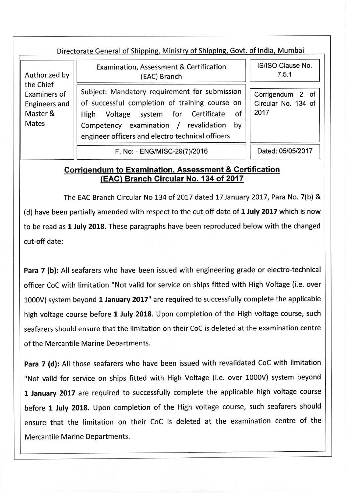| Directorate General of Shipping, Ministry of Shipping, Govt. of India, Mumbai |
|-------------------------------------------------------------------------------|
|                                                                               |

Authorized by the Chief Exa miners of Engineers and Master & Mates

| <b>Examination, Assessment &amp; Certification</b><br>(EAC) Branch |  |                                                |  |  |  |  |  |
|--------------------------------------------------------------------|--|------------------------------------------------|--|--|--|--|--|
| Subject: Mandatory requirement for submission                      |  |                                                |  |  |  |  |  |
|                                                                    |  | of successful completion of training course on |  |  |  |  |  |
|                                                                    |  | High Voltage system for Certificate of         |  |  |  |  |  |
|                                                                    |  | Competency examination / revalidation by       |  |  |  |  |  |

engineer officers and electro technical officers

Corrigendum 2 of Circular No. 134 of

lS/lSO Clause No. 7.5.1

F. No: - ENG/MISC-29(7)/2016 | Dated: 05/05/2017

2017

## Gorriqendum to Examination. Assessment & Certification (EAG) Branch Circular No. 134 of 2017

The EAC Branch Circular No 134 of 2017 dated 17 January 2017, Para No. 7(b) & (d) have been partially amended with respect to the cut-off date of 1 July 2017 which is now to be read as 1 July 2018. These paragraphs have been reproduced below with the changed cut-off date:

Para 7 (b): All seafarers who have been issued with engineering grade or electro-technical officer CoC with limitation "Not valid for service on ships fitted with High Voltage (i.e. over 1000V) system beyond 1 January 2017" are required to successfully complete the applicable high voltage course before 1 July 2018. Upon completion of the High voltage course, such seafarers should ensure that the limitation on their CoC is deleted at the examination centre of the Mercantile Marine Departments.

Para 7 (d): All those seafarers who have been issued with revalidated CoC with limitation "Not valid for service on ships fitted with High Voltage (i.e. over 1000V) system beyond 1 January 2017 are required to successfully complete the applicable high voltage course before 1 July 2018. Upon completion of the High voltage course, such seafarers should ensure that the limitation on their CoC is deleted at the examination centre of the Mercantile Marine Departments.